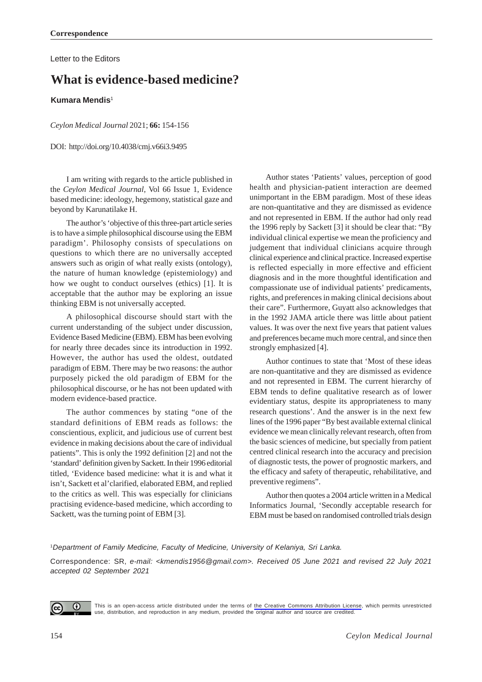Letter to the Editors

# **What is evidence-based medicine?**

#### **Kumara Mendis**<sup>1</sup>

*Ceylon Medical Journal* 2021; **66:** 154-156

DOI: http://doi.org/10.4038/cmj.v66i3.9495

I am writing with regards to the article published in the *Ceylon Medical Journal*, Vol 66 Issue 1, Evidence based medicine: ideology, hegemony, statistical gaze and beyond by Karunatilake H.

The author's 'objective of this three-part article series is to have a simple philosophical discourse using the EBM paradigm'. Philosophy consists of speculations on questions to which there are no universally accepted answers such as origin of what really exists (ontology), the nature of human knowledge (epistemiology) and how we ought to conduct ourselves (ethics) [1]. It is acceptable that the author may be exploring an issue thinking EBM is not universally accepted.

A philosophical discourse should start with the current understanding of the subject under discussion, Evidence Based Medicine (EBM). EBM has been evolving for nearly three decades since its introduction in 1992. However, the author has used the oldest, outdated paradigm of EBM. There may be two reasons: the author purposely picked the old paradigm of EBM for the philosophical discourse, or he has not been updated with modern evidence-based practice.

The author commences by stating "one of the standard definitions of EBM reads as follows: the conscientious, explicit, and judicious use of current best evidence in making decisions about the care of individual patients". This is only the 1992 definition [2] and not the 'standard' definition given by Sackett. In their 1996 editorial titled, 'Evidence based medicine: what it is and what it isn't, Sackett et al'clarified, elaborated EBM, and replied to the critics as well. This was especially for clinicians practising evidence-based medicine, which according to Sackett, was the turning point of EBM [3].

Author states 'Patients' values, perception of good health and physician-patient interaction are deemed unimportant in the EBM paradigm. Most of these ideas are non-quantitative and they are dismissed as evidence and not represented in EBM. If the author had only read the 1996 reply by Sackett [3] it should be clear that: "By individual clinical expertise we mean the proficiency and judgement that individual clinicians acquire through clinical experience and clinical practice. Increased expertise is reflected especially in more effective and efficient diagnosis and in the more thoughtful identification and compassionate use of individual patients' predicaments, rights, and preferences in making clinical decisions about their care". Furthermore, Guyatt also acknowledges that in the 1992 JAMA article there was little about patient values. It was over the next five years that patient values and preferences became much more central, and since then strongly emphasized [4].

Author continues to state that 'Most of these ideas are non-quantitative and they are dismissed as evidence and not represented in EBM. The current hierarchy of EBM tends to define qualitative research as of lower evidentiary status, despite its appropriateness to many research questions'. And the answer is in the next few lines of the 1996 paper "By best available external clinical evidence we mean clinically relevant research, often from the basic sciences of medicine, but specially from patient centred clinical research into the accuracy and precision of diagnostic tests, the power of prognostic markers, and the efficacy and safety of therapeutic, rehabilitative, and preventive regimens".

Author then quotes a 2004 article written in a Medical Informatics Journal, 'Secondly acceptable research for EBM must be based on randomised controlled trials design

#### 1 *Department of Family Medicine, Faculty of Medicine, University of Kelaniya, Sri Lanka.*

Correspondence: SR, *e-mail: <kmendis1956@gmail.com>. Received 05 June 2021 and revised 22 July 2021 accepted 02 September 2021*



This is an open-access article distributed under the terms of [the Creative Commons Attribution License](https://creativecommons.org/licenses/by/4.0/legalcode), which permits unrestricted use, distribution, and reproduction in any medium, provided the original author and source are credited.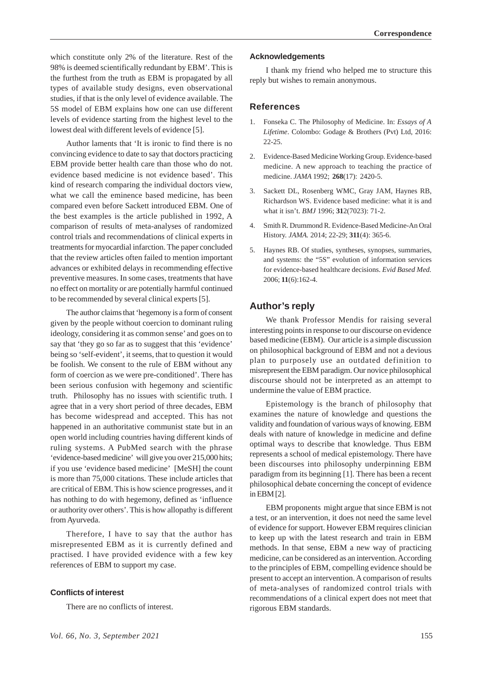which constitute only 2% of the literature. Rest of the 98% is deemed scientifically redundant by EBM'. This is the furthest from the truth as EBM is propagated by all types of available study designs, even observational studies, if that is the only level of evidence available. The 5S model of EBM explains how one can use different levels of evidence starting from the highest level to the lowest deal with different levels of evidence [5].

Author laments that 'It is ironic to find there is no convincing evidence to date to say that doctors practicing EBM provide better health care than those who do not. evidence based medicine is not evidence based'. This kind of research comparing the individual doctors view, what we call the eminence based medicine, has been compared even before Sackett introduced EBM. One of the best examples is the article published in 1992, A comparison of results of meta-analyses of randomized control trials and recommendations of clinical experts in treatments for myocardial infarction. The paper concluded that the review articles often failed to mention important advances or exhibited delays in recommending effective preventive measures. In some cases, treatments that have no effect on mortality or are potentially harmful continued to be recommended by several clinical experts [5].

The author claims that 'hegemony is a form of consent given by the people without coercion to dominant ruling ideology, considering it as common sense' and goes on to say that 'they go so far as to suggest that this 'evidence' being so 'self-evident', it seems, that to question it would be foolish. We consent to the rule of EBM without any form of coercion as we were pre-conditioned'. There has been serious confusion with hegemony and scientific truth. Philosophy has no issues with scientific truth. I agree that in a very short period of three decades, EBM has become widespread and accepted. This has not happened in an authoritative communist state but in an open world including countries having different kinds of ruling systems. A PubMed search with the phrase 'evidence-based medicine' will give you over 215,000 hits; if you use 'evidence based medicine' [MeSH] the count is more than 75,000 citations. These include articles that are critical of EBM. This is how science progresses, and it has nothing to do with hegemony, defined as 'influence or authority over others'. This is how allopathy is different from Ayurveda.

Therefore, I have to say that the author has misrepresented EBM as it is currently defined and practised. I have provided evidence with a few key references of EBM to support my case.

#### **Conflicts of interest**

There are no conflicts of interest.

#### **Acknowledgements**

I thank my friend who helped me to structure this reply but wishes to remain anonymous.

## **References**

- 1. Fonseka C. The Philosophy of Medicine. In: *Essays of A Lifetime*. Colombo: Godage & Brothers (Pvt) Ltd, 2016: 22-25.
- 2. Evidence-Based Medicine Working Group. Evidence-based medicine. A new approach to teaching the practice of medicine. *JAMA* 1992; **268**(17): 2420-5.
- 3. Sackett DL, Rosenberg WMC, Gray JAM, Haynes RB, Richardson WS. Evidence based medicine: what it is and what it isn't. *BMJ* 1996; **31**2(7023): 71-2.
- 4. Smith R. Drummond R. Evidence-Based Medicine-An Oral History. *JAMA.* 2014; 22-29; **311**(4): 365-6.
- 5. Haynes RB. Of studies, syntheses, synopses, summaries, and systems: the "5S" evolution of information services for evidence-based healthcare decisions. *Evid Based Med.* 2006; **11**(6):162-4.

# **Author's reply**

We thank Professor Mendis for raising several interesting points in response to our discourse on evidence based medicine (EBM). Our article is a simple discussion on philosophical background of EBM and not a devious plan to purposely use an outdated definition to misrepresent the EBM paradigm. Our novice philosophical discourse should not be interpreted as an attempt to undermine the value of EBM practice.

Epistemology is the branch of philosophy that examines the nature of knowledge and questions the validity and foundation of various ways of knowing. EBM deals with nature of knowledge in medicine and define optimal ways to describe that knowledge. Thus EBM represents a school of medical epistemology. There have been discourses into philosophy underpinning EBM paradigm from its beginning [1]. There has been a recent philosophical debate concerning the concept of evidence in EBM [2].

EBM proponents might argue that since EBM is not a test, or an intervention, it does not need the same level of evidence for support. However EBM requires clinician to keep up with the latest research and train in EBM methods. In that sense, EBM a new way of practicing medicine, can be considered as an intervention. According to the principles of EBM, compelling evidence should be present to accept an intervention. A comparison of results of meta-analyses of randomized control trials with recommendations of a clinical expert does not meet that rigorous EBM standards.